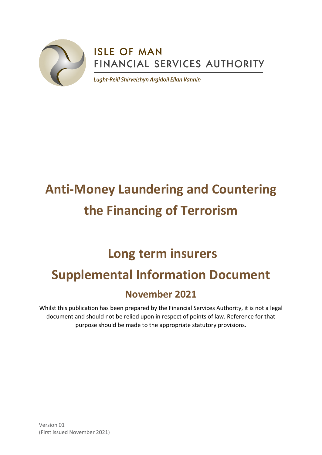

# **ISLE OF MAN** FINANCIAL SERVICES AUTHORITY

Lught-Reill Shirveishyn Argidoil Ellan Vannin

# **Anti-Money Laundering and Countering the Financing of Terrorism**

# **Long term insurers Supplemental Information Document**

# **November 2021**

Whilst this publication has been prepared by the Financial Services Authority, it is not a legal document and should not be relied upon in respect of points of law. Reference for that purpose should be made to the appropriate statutory provisions.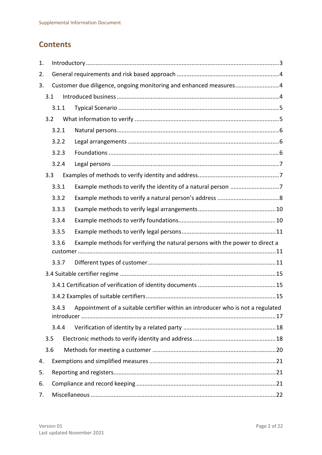# **Contents**

| 1. |     |       |  |                                                                                 |  |  |
|----|-----|-------|--|---------------------------------------------------------------------------------|--|--|
| 2. |     |       |  |                                                                                 |  |  |
| 3. |     |       |  | Customer due diligence, ongoing monitoring and enhanced measures4               |  |  |
|    | 3.1 |       |  |                                                                                 |  |  |
|    |     | 3.1.1 |  |                                                                                 |  |  |
|    | 3.2 |       |  |                                                                                 |  |  |
|    |     | 3.2.1 |  |                                                                                 |  |  |
|    |     | 3.2.2 |  |                                                                                 |  |  |
|    |     | 3.2.3 |  |                                                                                 |  |  |
|    |     | 3.2.4 |  |                                                                                 |  |  |
|    | 3.3 |       |  |                                                                                 |  |  |
|    |     | 3.3.1 |  |                                                                                 |  |  |
|    |     | 3.3.2 |  |                                                                                 |  |  |
|    |     | 3.3.3 |  |                                                                                 |  |  |
|    |     | 3.3.4 |  |                                                                                 |  |  |
|    |     | 3.3.5 |  |                                                                                 |  |  |
|    |     | 3.3.6 |  | Example methods for verifying the natural persons with the power to direct a    |  |  |
|    |     | 3.3.7 |  |                                                                                 |  |  |
|    |     |       |  |                                                                                 |  |  |
|    |     |       |  |                                                                                 |  |  |
|    |     |       |  |                                                                                 |  |  |
|    |     | 3.4.3 |  | Appointment of a suitable certifier within an introducer who is not a regulated |  |  |
|    |     | 3.4.4 |  |                                                                                 |  |  |
|    | 3.5 |       |  |                                                                                 |  |  |
|    | 3.6 |       |  |                                                                                 |  |  |
| 4. |     |       |  |                                                                                 |  |  |
| 5. |     |       |  |                                                                                 |  |  |
| 6. |     |       |  |                                                                                 |  |  |
| 7. |     |       |  |                                                                                 |  |  |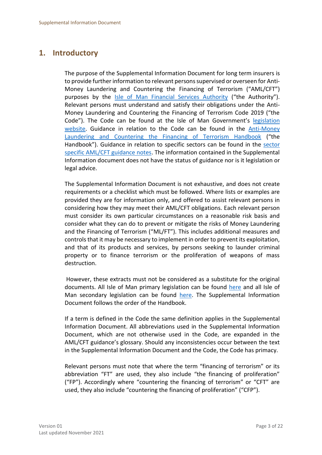# <span id="page-2-0"></span>**1. Introductory**

The purpose of the Supplemental Information Document for long term insurers is to provide further information to relevant persons supervised or overseen for Anti-Money Laundering and Countering the Financing of Terrorism ("AML/CFT") purposes by the [Isle of Man Financial Services Authority](https://www.iomfsa.im/) ("the Authority"). Relevant persons must understand and satisfy their obligations under the Anti-Money Laundering and Countering the Financing of Terrorism Code 2019 ("the Code"). The Code can be found at the Isle of Man Government's [legislation](https://legislation.gov.im/cms/)  [website.](https://legislation.gov.im/cms/) Guidance in relation to the Code can be found in the [Anti-Money](https://www.iomfsa.im/amlcft/amlcft-requirements-and-guidance/)  Laundering [and Countering the Financing of Terrorism Handbook](https://www.iomfsa.im/amlcft/amlcft-requirements-and-guidance/) ("the Handbook"). Guidance in relation to specific sectors can be found in the [sector](https://www.iomfsa.im/amlcft/amlcft-requirements-and-guidance/)  [specific AML/CFT guidance notes.](https://www.iomfsa.im/amlcft/amlcft-requirements-and-guidance/) The information contained in the Supplemental Information document does not have the status of guidance nor is it legislation or legal advice.

The Supplemental Information Document is not exhaustive, and does not create requirements or a checklist which must be followed. Where lists or examples are provided they are for information only, and offered to assist relevant persons in considering how they may meet their AML/CFT obligations. Each relevant person must consider its own particular circumstances on a reasonable risk basis and consider what they can do to prevent or mitigate the risks of Money Laundering and the Financing of Terrorism ("ML/FT"). This includes additional measures and controls that it may be necessary to implement in order to prevent its exploitation, and that of its products and services, by persons seeking to launder criminal property or to finance terrorism or the proliferation of weapons of mass destruction.

However, these extracts must not be considered as a substitute for the original documents. All Isle of Man primary legislation can be found [here](https://legislation.gov.im/cms/) and all Isle of Man secondary legislation can be found [here.](https://www.tynwald.org.im/links/tls/SD/Pages/default.aspx) The Supplemental Information Document follows the order of the Handbook.

If a term is defined in the Code the same definition applies in the Supplemental Information Document. All abbreviations used in the Supplemental Information Document, which are not otherwise used in the Code, are expanded in the AML/CFT guidance's glossary. Should any inconsistencies occur between the text in the Supplemental Information Document and the Code, the Code has primacy.

Relevant persons must note that where the term "financing of terrorism" or its abbreviation "FT" are used, they also include "the financing of proliferation" ("FP"). Accordingly where "countering the financing of terrorism" or "CFT" are used, they also include "countering the financing of proliferation" ("CFP").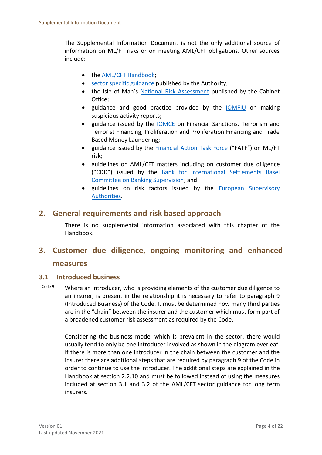The Supplemental Information Document is not the only additional source of information on ML/FT risks or on meeting AML/CFT obligations. Other sources include:

- the [AML/CFT Handbook;](https://www.iomfsa.im/amlcft/amlcft-requirements-and-guidance/)
- [sector specific guidance](https://www.iomfsa.im/amlcft/amlcft-requirements-and-guidance/) published by the Authority;
- the Isle of Man's [National Risk Assessment](https://www.gov.im/media/1367979/isle-of-man-national-risk-assessment-2020-updated-140120.pdf) published by the Cabinet Office;
- guidance and good practice provided by the [IOMFIU](https://www.fiu.im/) on making suspicious activity reports;
- guidance issued by the [IOMCE](https://www.gov.im/categories/tax-vat-and-your-money/customs-and-excise/sanctions-and-export-control/) on Financial Sanctions, Terrorism and Terrorist Financing, Proliferation and Proliferation Financing and Trade Based Money Laundering;
- guidance issued by the [Financial Action Task Force](https://www.fatf-gafi.org/) ("FATF") on ML/FT risk;
- guidelines on AML/CFT matters including on customer due diligence ("CDD") issued by the [Bank for International Settlements Basel](https://www.bis.org/bcbs/)  [Committee on Banking Supervision;](https://www.bis.org/bcbs/) and
- guidelines on risk factors issued by the European Supervisory [Authorities.](https://ec.europa.eu/info/business-economy-euro/banking-and-finance/financial-supervision-and-risk-management/european-system-financial-supervision_en)

# <span id="page-3-0"></span>**2. General requirements and risk based approach**

There is no supplemental information associated with this chapter of the Handbook.

# <span id="page-3-1"></span>**3. Customer due diligence, ongoing monitoring and enhanced measures**

#### <span id="page-3-2"></span>**3.1 Introduced business**

Code 9 Where an introducer, who is providing elements of the customer due diligence to an insurer, is present in the relationship it is necessary to refer to paragraph 9 (Introduced Business) of the Code. It must be determined how many third parties are in the "chain" between the insurer and the customer which must form part of a broadened customer risk assessment as required by the Code.

Considering the business model which is prevalent in the sector, there would usually tend to only be one introducer involved as shown in the diagram overleaf. If there is more than one introducer in the chain between the customer and the insurer there are additional steps that are required by paragraph 9 of the Code in order to continue to use the introducer. The additional steps are explained in the Handbook at section 2.2.10 and must be followed instead of using the measures included at section 3.1 and 3.2 of the AML/CFT sector guidance for long term insurers.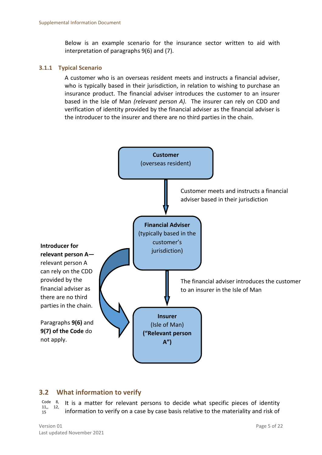Below is an example scenario for the insurance sector written to aid with interpretation of paragraphs 9(6) and (7).

#### <span id="page-4-0"></span>**3.1.1 Typical Scenario**

A customer who is an overseas resident meets and instructs a financial adviser, who is typically based in their jurisdiction, in relation to wishing to purchase an insurance product. The financial adviser introduces the customer to an insurer based in the Isle of Man *(relevant person A).* The insurer can rely on CDD and verification of identity provided by the financial adviser as the financial adviser is the introducer to the insurer and there are no third parties in the chain.



## <span id="page-4-1"></span>**3.2 What information to verify**

Code 8, 11,, 12, 15 It is a matter for relevant persons to decide what specific pieces of identity information to verify on a case by case basis relative to the materiality and risk of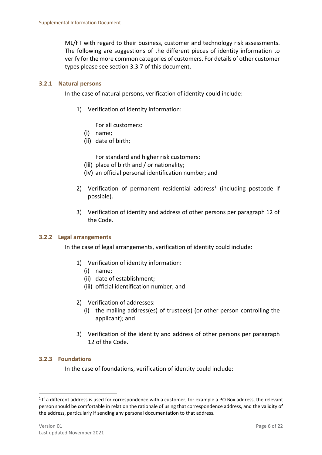ML/FT with regard to their business, customer and technology risk assessments. The following are suggestions of the different pieces of identity information to verify for the more common categories of customers. For details of other customer types please see section 3.3.7 of this document.

#### <span id="page-5-0"></span>**3.2.1 Natural persons**

In the case of natural persons, verification of identity could include:

1) Verification of identity information:

For all customers:

- (i) name;
- (ii) date of birth;

For standard and higher risk customers:

- (iii) place of birth and / or nationality;
- (iv) an official personal identification number; and
- 2) Verification of permanent residential address<sup>1</sup> (including postcode if possible).
- 3) Verification of identity and address of other persons per paragraph 12 of the Code.

#### <span id="page-5-1"></span>**3.2.2 Legal arrangements**

In the case of legal arrangements, verification of identity could include:

- 1) Verification of identity information:
	- (i) name;
	- (ii) date of establishment;
	- (iii) official identification number; and
- 2) Verification of addresses:
	- (i) the mailing address(es) of trustee(s) (or other person controlling the applicant); and
- 3) Verification of the identity and address of other persons per paragraph 12 of the Code.

#### <span id="page-5-2"></span>**3.2.3 Foundations**

1

In the case of foundations, verification of identity could include:

 $1$  If a different address is used for correspondence with a customer, for example a PO Box address, the relevant person should be comfortable in relation the rationale of using that correspondence address, and the validity of the address, particularly if sending any personal documentation to that address.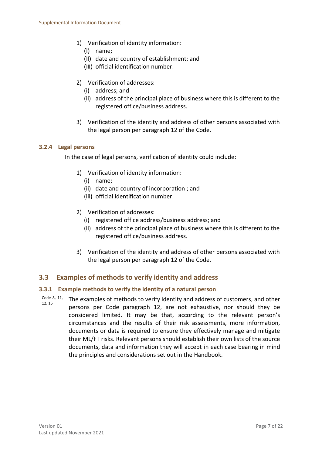- 1) Verification of identity information:
	- (i) name;
	- (ii) date and country of establishment; and
	- (iii) official identification number.
- 2) Verification of addresses:
	- (i) address; and
	- (ii) address of the principal place of business where this is different to the registered office/business address.
- 3) Verification of the identity and address of other persons associated with the legal person per paragraph 12 of the Code.

#### <span id="page-6-0"></span>**3.2.4 Legal persons**

In the case of legal persons, verification of identity could include:

- 1) Verification of identity information:
	- (i) name;
	- (ii) date and country of incorporation ; and
	- (iii) official identification number.
- 2) Verification of addresses:
	- (i) registered office address/business address; and
	- (ii) address of the principal place of business where this is different to the registered office/business address.
- 3) Verification of the identity and address of other persons associated with the legal person per paragraph 12 of the Code.

#### <span id="page-6-1"></span>**3.3 Examples of methods to verify identity and address**

#### <span id="page-6-2"></span>**3.3.1 Example methods to verify the identity of a natural person**

Code 8, 11, 12, 15 The examples of methods to verify identity and address of customers, and other persons per Code paragraph 12, are not exhaustive, nor should they be considered limited. It may be that, according to the relevant person's circumstances and the results of their risk assessments, more information, documents or data is required to ensure they effectively manage and mitigate their ML/FT risks. Relevant persons should establish their own lists of the source documents, data and information they will accept in each case bearing in mind the principles and considerations set out in the Handbook.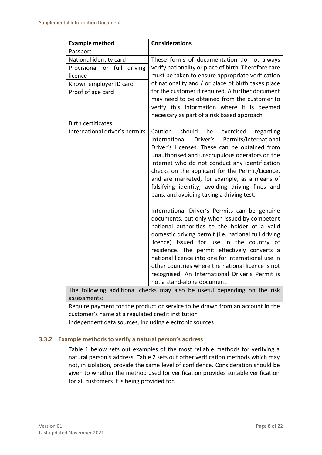| <b>Example method</b>                                                         | <b>Considerations</b>                                                                                                                                                                                                                                                                                                                                                                                                                                                                           |  |  |  |  |
|-------------------------------------------------------------------------------|-------------------------------------------------------------------------------------------------------------------------------------------------------------------------------------------------------------------------------------------------------------------------------------------------------------------------------------------------------------------------------------------------------------------------------------------------------------------------------------------------|--|--|--|--|
| Passport                                                                      |                                                                                                                                                                                                                                                                                                                                                                                                                                                                                                 |  |  |  |  |
| National identity card                                                        | These forms of documentation do not always                                                                                                                                                                                                                                                                                                                                                                                                                                                      |  |  |  |  |
| Provisional or full driving                                                   | verify nationality or place of birth. Therefore care                                                                                                                                                                                                                                                                                                                                                                                                                                            |  |  |  |  |
| licence                                                                       | must be taken to ensure appropriate verification                                                                                                                                                                                                                                                                                                                                                                                                                                                |  |  |  |  |
| Known employer ID card                                                        | of nationality and / or place of birth takes place                                                                                                                                                                                                                                                                                                                                                                                                                                              |  |  |  |  |
| Proof of age card                                                             | for the customer if required. A further document                                                                                                                                                                                                                                                                                                                                                                                                                                                |  |  |  |  |
|                                                                               | may need to be obtained from the customer to                                                                                                                                                                                                                                                                                                                                                                                                                                                    |  |  |  |  |
|                                                                               | verify this information where it is deemed                                                                                                                                                                                                                                                                                                                                                                                                                                                      |  |  |  |  |
|                                                                               | necessary as part of a risk based approach                                                                                                                                                                                                                                                                                                                                                                                                                                                      |  |  |  |  |
| <b>Birth certificates</b>                                                     |                                                                                                                                                                                                                                                                                                                                                                                                                                                                                                 |  |  |  |  |
| International driver's permits                                                | Caution<br>should<br>be<br>exercised<br>regarding<br>Driver's<br>International<br>Permits/International<br>Driver's Licenses. These can be obtained from<br>unauthorised and unscrupulous operators on the<br>internet who do not conduct any identification<br>checks on the applicant for the Permit/Licence,<br>and are marketed, for example, as a means of<br>falsifying identity, avoiding driving fines and<br>bans, and avoiding taking a driving test.                                 |  |  |  |  |
|                                                                               | International Driver's Permits can be genuine<br>documents, but only when issued by competent<br>national authorities to the holder of a valid<br>domestic driving permit (i.e. national full driving<br>licence) issued for use in the country of<br>residence. The permit effectively converts a<br>national licence into one for international use in<br>other countries where the national licence is not<br>recognised. An International Driver's Permit is<br>not a stand-alone document. |  |  |  |  |
| The following additional checks may also be useful depending on the risk      |                                                                                                                                                                                                                                                                                                                                                                                                                                                                                                 |  |  |  |  |
| assessments:                                                                  |                                                                                                                                                                                                                                                                                                                                                                                                                                                                                                 |  |  |  |  |
| Require payment for the product or service to be drawn from an account in the |                                                                                                                                                                                                                                                                                                                                                                                                                                                                                                 |  |  |  |  |
| customer's name at a regulated credit institution                             |                                                                                                                                                                                                                                                                                                                                                                                                                                                                                                 |  |  |  |  |

Independent data sources, including electronic sources

#### <span id="page-7-0"></span>**3.3.2 Example methods to verify a natural person's address**

Table 1 below sets out examples of the most reliable methods for verifying a natural person's address. Table 2 sets out other verification methods which may not, in isolation, provide the same level of confidence. Consideration should be given to whether the method used for verification provides suitable verification for all customers it is being provided for.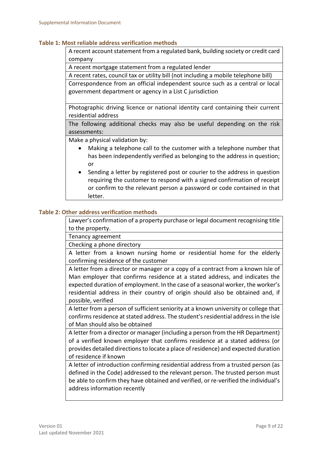#### **Table 1: Most reliable address verification methods**

A recent account statement from a regulated bank, building society or credit card company

A recent mortgage statement from a regulated lender

A recent rates, council tax or utility bill (not including a mobile telephone bill)

Correspondence from an official independent source such as a central or local government department or agency in a List C jurisdiction

Photographic driving licence or national identity card containing their current residential address

The following additional checks may also be useful depending on the risk assessments:

Make a physical validation by:

- Making a telephone call to the customer with a telephone number that has been independently verified as belonging to the address in question; or
- Sending a letter by registered post or courier to the address in question requiring the customer to respond with a signed confirmation of receipt or confirm to the relevant person a password or code contained in that letter.

#### **Table 2: Other address verification methods**

Lawyer's confirmation of a property purchase or legal document recognising title to the property.

Tenancy agreement

Checking a phone directory

A letter from a known nursing home or residential home for the elderly confirming residence of the customer

A letter from a director or manager or a copy of a contract from a known Isle of Man employer that confirms residence at a stated address, and indicates the expected duration of employment. In the case of a seasonal worker, the worker's residential address in their country of origin should also be obtained and, if possible, verified

A letter from a person of sufficient seniority at a known university or college that confirms residence at stated address. The student's residential address in the Isle of Man should also be obtained

A letter from a director or manager (including a person from the HR Department) of a verified known employer that confirms residence at a stated address (or provides detailed directions to locate a place of residence) and expected duration of residence if known

A letter of introduction confirming residential address from a trusted person (as defined in the Code) addressed to the relevant person. The trusted person must be able to confirm they have obtained and verified, or re-verified the individual's address information recently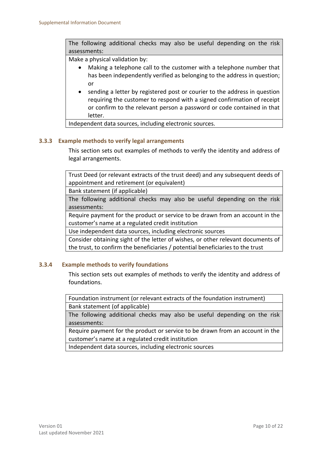The following additional checks may also be useful depending on the risk assessments:

Make a physical validation by:

- Making a telephone call to the customer with a telephone number that has been independently verified as belonging to the address in question; or
- sending a letter by registered post or courier to the address in question requiring the customer to respond with a signed confirmation of receipt or confirm to the relevant person a password or code contained in that letter.

Independent data sources, including electronic sources.

#### <span id="page-9-0"></span>**3.3.3 Example methods to verify legal arrangements**

This section sets out examples of methods to verify the identity and address of legal arrangements.

Trust Deed (or relevant extracts of the trust deed) and any subsequent deeds of appointment and retirement (or equivalent)

Bank statement (if applicable)

The following additional checks may also be useful depending on the risk assessments:

Require payment for the product or service to be drawn from an account in the customer's name at a regulated credit institution

Use independent data sources, including electronic sources

Consider obtaining sight of the letter of wishes, or other relevant documents of the trust, to confirm the beneficiaries / potential beneficiaries to the trust

#### <span id="page-9-1"></span>**3.3.4 Example methods to verify foundations**

This section sets out examples of methods to verify the identity and address of foundations.

Foundation instrument (or relevant extracts of the foundation instrument) Bank statement (of applicable)

The following additional checks may also be useful depending on the risk assessments:

Require payment for the product or service to be drawn from an account in the customer's name at a regulated credit institution

Independent data sources, including electronic sources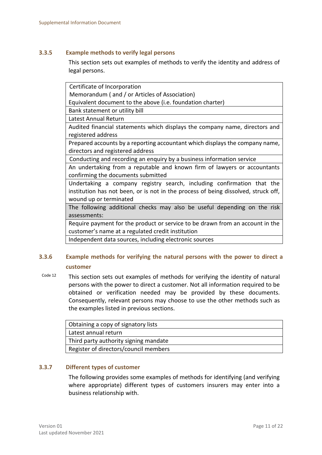#### <span id="page-10-0"></span>**3.3.5 Example methods to verify legal persons**

This section sets out examples of methods to verify the identity and address of legal persons.

| Certificate of Incorporation                                                       |  |  |  |  |  |
|------------------------------------------------------------------------------------|--|--|--|--|--|
| Memorandum (and / or Articles of Association)                                      |  |  |  |  |  |
| Equivalent document to the above (i.e. foundation charter)                         |  |  |  |  |  |
| Bank statement or utility bill                                                     |  |  |  |  |  |
| Latest Annual Return                                                               |  |  |  |  |  |
| Audited financial statements which displays the company name, directors and        |  |  |  |  |  |
| registered address                                                                 |  |  |  |  |  |
| Prepared accounts by a reporting accountant which displays the company name,       |  |  |  |  |  |
| directors and registered address                                                   |  |  |  |  |  |
| Conducting and recording an enquiry by a business information service              |  |  |  |  |  |
| An undertaking from a reputable and known firm of lawyers or accountants           |  |  |  |  |  |
| confirming the documents submitted                                                 |  |  |  |  |  |
| Undertaking a company registry search, including confirmation that the             |  |  |  |  |  |
| institution has not been, or is not in the process of being dissolved, struck off, |  |  |  |  |  |
| wound up or terminated                                                             |  |  |  |  |  |
| The following additional checks may also be useful depending on the risk           |  |  |  |  |  |
| assessments:                                                                       |  |  |  |  |  |
| Require payment for the product or service to be drawn from an account in the      |  |  |  |  |  |
| customer's name at a regulated credit institution                                  |  |  |  |  |  |
| Independent data sources, including electronic sources                             |  |  |  |  |  |
|                                                                                    |  |  |  |  |  |

## <span id="page-10-1"></span>**3.3.6 Example methods for verifying the natural persons with the power to direct a customer**

Code 12 This section sets out examples of methods for verifying the identity of natural persons with the power to direct a customer. Not all information required to be obtained or verification needed may be provided by these documents. Consequently, relevant persons may choose to use the other methods such as the examples listed in previous sections.

| Obtaining a copy of signatory lists   |  |  |
|---------------------------------------|--|--|
| Latest annual return                  |  |  |
| Third party authority signing mandate |  |  |
| Register of directors/council members |  |  |

#### **3.3.7 Different types of customer**

<span id="page-10-2"></span>The following provides some examples of methods for identifying (and verifying where appropriate) different types of customers insurers may enter into a business relationship with.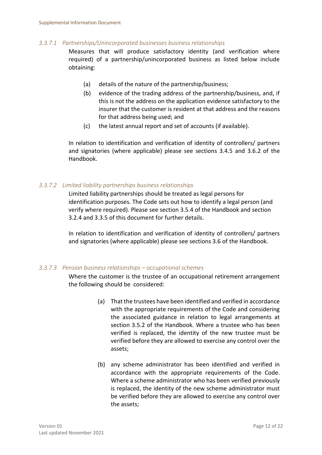#### *3.3.7.1 Partnerships/Unincorporated businesses business relationships*

Measures that will produce satisfactory identity (and verification where required) of a partnership/unincorporated business as listed below include obtaining:

- (a) details of the nature of the partnership/business;
- (b) evidence of the trading address of the partnership/business, and, if this is not the address on the application evidence satisfactory to the insurer that the customer is resident at that address and the reasons for that address being used; and
- (c) the latest annual report and set of accounts (if available).

In relation to identification and verification of identity of controllers/ partners and signatories (where applicable) please see sections 3.4.5 and 3.6.2 of the Handbook.

#### *3.3.7.2 Limited liability partnerships business relationships*

Limited liability partnerships should be treated as legal persons for identification purposes. The Code sets out how to identify a legal person (and verify where required). Please see section 3.5.4 of the Handbook and section 3.2.4 and 3.3.5 of this document for further details.

In relation to identification and verification of identity of controllers/ partners and signatories (where applicable) please see sections 3.6 of the Handbook.

#### *3.3.7.3 Pension business relationships – occupational schemes*

Where the customer is the trustee of an occupational retirement arrangement the following should be considered:

- (a) That the trustees have been identified and verified in accordance with the appropriate requirements of the Code and considering the associated guidance in relation to legal arrangements at section 3.5.2 of the Handbook. Where a trustee who has been verified is replaced, the identity of the new trustee must be verified before they are allowed to exercise any control over the assets;
- (b) any scheme administrator has been identified and verified in accordance with the appropriate requirements of the Code. Where a scheme administrator who has been verified previously is replaced, the identity of the new scheme administrator must be verified before they are allowed to exercise any control over the assets;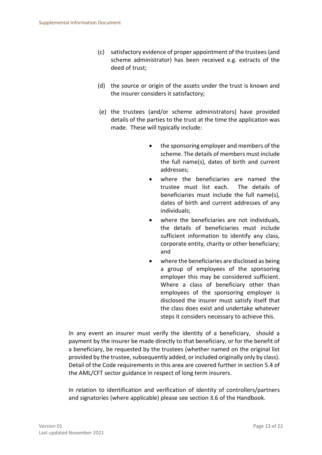- (c) satisfactory evidence of proper appointment of the trustees (and scheme administrator) has been received e.g. extracts of the deed of trust;
- (d) the source or origin of the assets under the trust is known and the insurer considers it satisfactory;
- (e) the trustees (and/or scheme administrators) have provided details of the parties to the trust at the time the application was made. These will typically include:
	- the sponsoring employer and members of the scheme. The details of members must include the full name(s), dates of birth and current addresses;
	- where the beneficiaries are named the trustee must list each. The details of beneficiaries must include the full name(s), dates of birth and current addresses of any individuals;
	- where the beneficiaries are not individuals. the details of beneficiaries must include sufficient information to identify any class, corporate entity, charity or other beneficiary; and
	- where the beneficiaries are disclosed as being a group of employees of the sponsoring employer this may be considered sufficient. Where a class of beneficiary other than employees of the sponsoring employer is disclosed the insurer must satisfy itself that the class does exist and undertake whatever steps it considers necessary to achieve this.

In any event an insurer must verify the identity of a beneficiary, should a payment by the insurer be made directly to that beneficiary, or for the benefit of a beneficiary, be requested by the trustees (whether named on the original list provided by the trustee, subsequently added, or included originally only by class). Detail of the Code requirements in this area are covered further in section 5.4 of the AML/CFT sector guidance in respect of long term insurers.

In relation to identification and verification of identity of controllers/partners and signatories (where applicable) please see section 3.6 of the Handbook.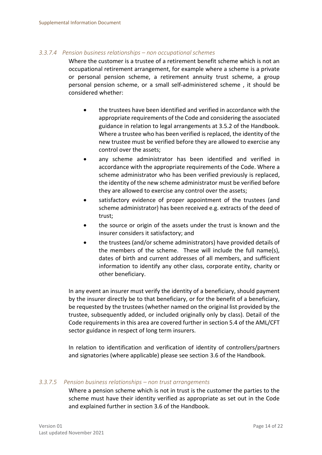#### *3.3.7.4 Pension business relationships – non occupational schemes*

Where the customer is a trustee of a retirement benefit scheme which is not an occupational retirement arrangement, for example where a scheme is a private or personal pension scheme, a retirement annuity trust scheme, a group personal pension scheme, or a small self-administered scheme , it should be considered whether:

- the trustees have been identified and verified in accordance with the appropriate requirements of the Code and considering the associated guidance in relation to legal arrangements at 3.5.2 of the Handbook. Where a trustee who has been verified is replaced, the identity of the new trustee must be verified before they are allowed to exercise any control over the assets;
- any scheme administrator has been identified and verified in accordance with the appropriate requirements of the Code. Where a scheme administrator who has been verified previously is replaced, the identity of the new scheme administrator must be verified before they are allowed to exercise any control over the assets;
- satisfactory evidence of proper appointment of the trustees (and scheme administrator) has been received e.g. extracts of the deed of trust;
- the source or origin of the assets under the trust is known and the insurer considers it satisfactory; and
- the trustees (and/or scheme administrators) have provided details of the members of the scheme. These will include the full name(s), dates of birth and current addresses of all members, and sufficient information to identify any other class, corporate entity, charity or other beneficiary.

In any event an insurer must verify the identity of a beneficiary, should payment by the insurer directly be to that beneficiary, or for the benefit of a beneficiary, be requested by the trustees (whether named on the original list provided by the trustee, subsequently added, or included originally only by class). Detail of the Code requirements in this area are covered further in section 5.4 of the AML/CFT sector guidance in respect of long term insurers.

In relation to identification and verification of identity of controllers/partners and signatories (where applicable) please see section 3.6 of the Handbook.

#### *3.3.7.5 Pension business relationships – non trust arrangements*

Where a pension scheme which is not in trust is the customer the parties to the scheme must have their identity verified as appropriate as set out in the Code and explained further in section 3.6 of the Handbook.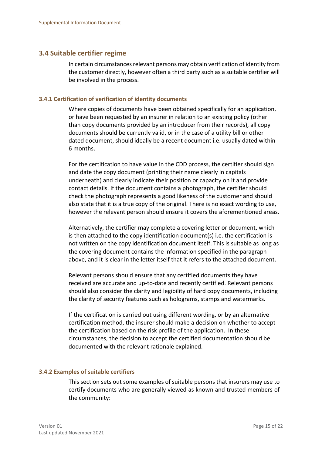#### <span id="page-14-0"></span>**3.4 Suitable certifier regime**

In certain circumstances relevant persons may obtain verification of identity from the customer directly, however often a third party such as a suitable certifier will be involved in the process.

#### <span id="page-14-1"></span>**3.4.1 Certification of verification of identity documents**

Where copies of documents have been obtained specifically for an application, or have been requested by an insurer in relation to an existing policy (other than copy documents provided by an introducer from their records), all copy documents should be currently valid, or in the case of a utility bill or other dated document, should ideally be a recent document i.e. usually dated within 6 months.

For the certification to have value in the CDD process, the certifier should sign and date the copy document (printing their name clearly in capitals underneath) and clearly indicate their position or capacity on it and provide contact details. If the document contains a photograph, the certifier should check the photograph represents a good likeness of the customer and should also state that it is a true copy of the original. There is no exact wording to use, however the relevant person should ensure it covers the aforementioned areas.

Alternatively, the certifier may complete a covering letter or document, which is then attached to the copy identification document(s) i.e. the certification is not written on the copy identification document itself. This is suitable as long as the covering document contains the information specified in the paragraph above, and it is clear in the letter itself that it refers to the attached document.

Relevant persons should ensure that any certified documents they have received are accurate and up-to-date and recently certified. Relevant persons should also consider the clarity and legibility of hard copy documents, including the clarity of security features such as holograms, stamps and watermarks.

If the certification is carried out using different wording, or by an alternative certification method, the insurer should make a decision on whether to accept the certification based on the risk profile of the application. In these circumstances, the decision to accept the certified documentation should be documented with the relevant rationale explained.

#### <span id="page-14-2"></span>**3.4.2 Examples of suitable certifiers**

This section sets out some examples of suitable persons that insurers may use to certify documents who are generally viewed as known and trusted members of the community: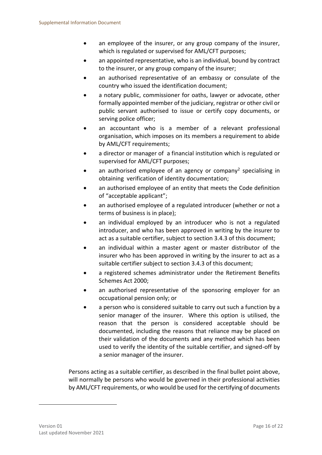- an employee of the insurer, or any group company of the insurer, which is regulated or supervised for AML/CFT purposes;
- an appointed representative, who is an individual, bound by contract to the insurer, or any group company of the insurer;
- an authorised representative of an embassy or consulate of the country who issued the identification document;
- a notary public, commissioner for oaths, lawyer or advocate, other formally appointed member of the judiciary, registrar or other civil or public servant authorised to issue or certify copy documents, or serving police officer;
- an accountant who is a member of a relevant professional organisation, which imposes on its members a requirement to abide by AML/CFT requirements;
- a director or manager of a financial institution which is regulated or supervised for AML/CFT purposes;
- an authorised employee of an agency or company<sup>2</sup> specialising in obtaining verification of identity documentation;
- an authorised employee of an entity that meets the Code definition of "acceptable applicant";
- an authorised employee of a regulated introducer (whether or not a terms of business is in place);
- an individual employed by an introducer who is not a regulated introducer, and who has been approved in writing by the insurer to act as a suitable certifier, subject to section 3.4.3 of this document;
- an individual within a master agent or master distributor of the insurer who has been approved in writing by the insurer to act as a suitable certifier subject to section 3.4.3 of this document;
- a registered schemes administrator under the Retirement Benefits Schemes Act 2000;
- an authorised representative of the sponsoring employer for an occupational pension only; or
- a person who is considered suitable to carry out such a function by a senior manager of the insurer. Where this option is utilised, the reason that the person is considered acceptable should be documented, including the reasons that reliance may be placed on their validation of the documents and any method which has been used to verify the identity of the suitable certifier, and signed-off by a senior manager of the insurer.

Persons acting as a suitable certifier, as described in the final bullet point above, will normally be persons who would be governed in their professional activities by AML/CFT requirements, or who would be used for the certifying of documents

-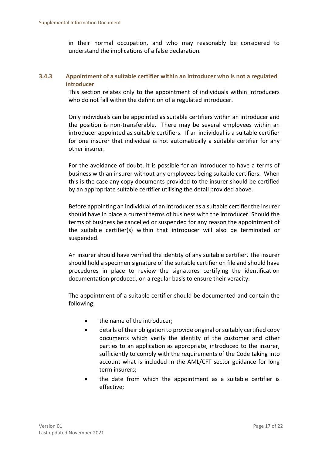in their normal occupation, and who may reasonably be considered to understand the implications of a false declaration.

#### <span id="page-16-0"></span>**3.4.3 Appointment of a suitable certifier within an introducer who is not a regulated introducer**

This section relates only to the appointment of individuals within introducers who do not fall within the definition of a regulated introducer.

Only individuals can be appointed as suitable certifiers within an introducer and the position is non-transferable. There may be several employees within an introducer appointed as suitable certifiers. If an individual is a suitable certifier for one insurer that individual is not automatically a suitable certifier for any other insurer.

For the avoidance of doubt, it is possible for an introducer to have a terms of business with an insurer without any employees being suitable certifiers. When this is the case any copy documents provided to the insurer should be certified by an appropriate suitable certifier utilising the detail provided above.

Before appointing an individual of an introducer as a suitable certifier the insurer should have in place a current terms of business with the introducer. Should the terms of business be cancelled or suspended for any reason the appointment of the suitable certifier(s) within that introducer will also be terminated or suspended.

An insurer should have verified the identity of any suitable certifier. The insurer should hold a specimen signature of the suitable certifier on file and should have procedures in place to review the signatures certifying the identification documentation produced, on a regular basis to ensure their veracity.

The appointment of a suitable certifier should be documented and contain the following:

- the name of the introducer;
- details of their obligation to provide original or suitably certified copy documents which verify the identity of the customer and other parties to an application as appropriate, introduced to the insurer, sufficiently to comply with the requirements of the Code taking into account what is included in the AML/CFT sector guidance for long term insurers;
- the date from which the appointment as a suitable certifier is effective;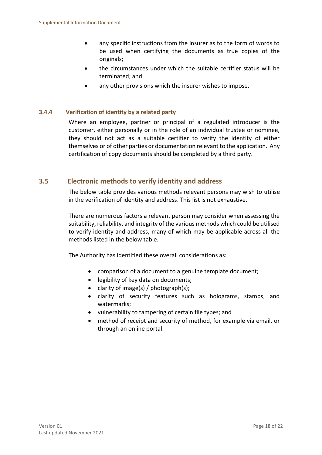- any specific instructions from the insurer as to the form of words to be used when certifying the documents as true copies of the originals;
- the circumstances under which the suitable certifier status will be terminated; and
- any other provisions which the insurer wishes to impose.

#### **3.4.4 Verification of identity by a related party**

<span id="page-17-0"></span>Where an employee, partner or principal of a regulated introducer is the customer, either personally or in the role of an individual trustee or nominee, they should not act as a suitable certifier to verify the identity of either themselves or of other parties or documentation relevant to the application. Any certification of copy documents should be completed by a third party.

#### **3.5 Electronic methods to verify identity and address**

<span id="page-17-1"></span>The below table provides various methods relevant persons may wish to utilise in the verification of identity and address. This list is not exhaustive.

There are numerous factors a relevant person may consider when assessing the suitability, reliability, and integrity of the various methods which could be utilised to verify identity and address, many of which may be applicable across all the methods listed in the below table.

The Authority has identified these overall considerations as:

- comparison of a document to a genuine template document;
- legibility of key data on documents;
- clarity of image(s) / photograph(s);
- clarity of security features such as holograms, stamps, and watermarks;
- vulnerability to tampering of certain file types; and
- method of receipt and security of method, for example via email, or through an online portal.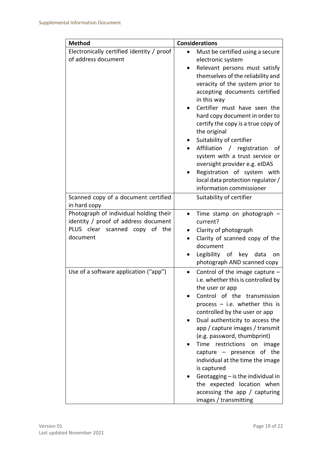| <b>Method</b>                                                                                                                | <b>Considerations</b>                                                                                                                                                                                                                                                                                                                                                                                                                                                                                                                                                                  |  |
|------------------------------------------------------------------------------------------------------------------------------|----------------------------------------------------------------------------------------------------------------------------------------------------------------------------------------------------------------------------------------------------------------------------------------------------------------------------------------------------------------------------------------------------------------------------------------------------------------------------------------------------------------------------------------------------------------------------------------|--|
| Electronically certified identity / proof<br>of address document                                                             | Must be certified using a secure<br>$\bullet$<br>electronic system<br>Relevant persons must satisfy<br>themselves of the reliability and<br>veracity of the system prior to<br>accepting documents certified<br>in this way<br>Certifier must have seen the<br>hard copy document in order to<br>certify the copy is a true copy of<br>the original<br>Suitability of certifier<br>Affiliation / registration<br>0f<br>system with a trust service or<br>oversight provider e.g. eIDAS<br>Registration of system with<br>local data protection regulator /<br>information commissioner |  |
| Scanned copy of a document certified<br>in hard copy                                                                         | Suitability of certifier                                                                                                                                                                                                                                                                                                                                                                                                                                                                                                                                                               |  |
| Photograph of individual holding their<br>identity / proof of address document<br>PLUS clear scanned copy of the<br>document | Time stamp on photograph<br>$\bullet$<br>current?<br>Clarity of photograph<br>Clarity of scanned copy of the<br>$\bullet$<br>document<br>Legibility of key data<br>on<br>photograph AND scanned copy                                                                                                                                                                                                                                                                                                                                                                                   |  |
| Use of a software application ("app")                                                                                        | Control of the image capture $-$<br>i.e. whether this is controlled by<br>the user or app<br>Control of the transmission<br>process $-$ i.e. whether this is<br>controlled by the user or app<br>Dual authenticity to access the<br>app / capture images / transmit<br>(e.g. password, thumbprint)<br>Time restrictions on image<br>capture $-$ presence of the<br>individual at the time the image<br>is captured<br>Geotagging - is the individual in<br>the expected location when<br>accessing the app / capturing<br>images / transmitting                                        |  |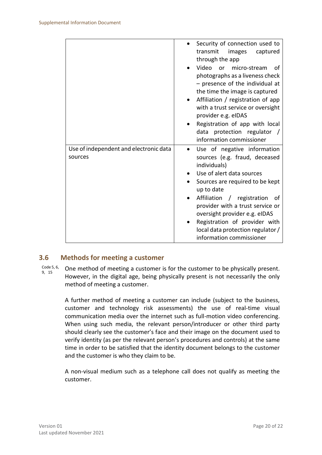|                                                   | Security of connection used to<br>transmit<br>images<br>captured<br>through the app<br>Video<br>or micro-stream<br>οf<br>photographs as a liveness check<br>$-$ presence of the individual at<br>the time the image is captured<br>Affiliation / registration of app<br>with a trust service or oversight<br>provider e.g. eIDAS<br>Registration of app with local<br>data protection regulator /<br>information commissioner |
|---------------------------------------------------|-------------------------------------------------------------------------------------------------------------------------------------------------------------------------------------------------------------------------------------------------------------------------------------------------------------------------------------------------------------------------------------------------------------------------------|
| Use of independent and electronic data<br>sources | Use of negative information<br>$\bullet$<br>sources (e.g. fraud, deceased<br>individuals)<br>Use of alert data sources<br>Sources are required to be kept<br>up to date<br>Affiliation / registration<br>of<br>provider with a trust service or<br>oversight provider e.g. eIDAS<br>Registration of provider with<br>local data protection regulator /<br>information commissioner                                            |

#### <span id="page-19-0"></span>**3.6 Methods for meeting a customer**

Code 5, 6, 9, 15 One method of meeting a customer is for the customer to be physically present. However, in the digital age, being physically present is not necessarily the only method of meeting a customer.

> A further method of meeting a customer can include (subject to the business, customer and technology risk assessments) the use of real-time visual communication media over the internet such as full-motion video conferencing. When using such media, the relevant person/introducer or other third party should clearly see the customer's face and their image on the document used to verify identity (as per the relevant person's procedures and controls) at the same time in order to be satisfied that the identity document belongs to the customer and the customer is who they claim to be.

> A non-visual medium such as a telephone call does not qualify as meeting the customer.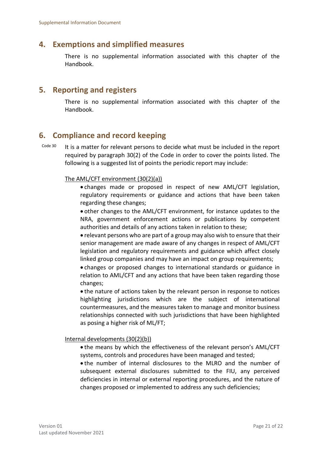## <span id="page-20-0"></span>**4. Exemptions and simplified measures**

There is no supplemental information associated with this chapter of the Handbook.

## <span id="page-20-1"></span>**5. Reporting and registers**

There is no supplemental information associated with this chapter of the Handbook.

# <span id="page-20-2"></span>**6. Compliance and record keeping**

Code 30 It is a matter for relevant persons to decide what must be included in the report required by paragraph 30(2) of the Code in order to cover the points listed. The following is a suggested list of points the periodic report may include:

#### The AML/CFT environment (30(2)(a))

 changes made or proposed in respect of new AML/CFT legislation, regulatory requirements or guidance and actions that have been taken regarding these changes;

 other changes to the AML/CFT environment, for instance updates to the NRA, government enforcement actions or publications by competent authorities and details of any actions taken in relation to these;

 relevant persons who are part of a group may also wish to ensure that their senior management are made aware of any changes in respect of AML/CFT legislation and regulatory requirements and guidance which affect closely linked group companies and may have an impact on group requirements;

 changes or proposed changes to international standards or guidance in relation to AML/CFT and any actions that have been taken regarding those changes;

 the nature of actions taken by the relevant person in response to notices highlighting jurisdictions which are the subject of international countermeasures, and the measures taken to manage and monitor business relationships connected with such jurisdictions that have been highlighted as posing a higher risk of ML/FT;

#### Internal developments (30(2)(b))

 the means by which the effectiveness of the relevant person's AML/CFT systems, controls and procedures have been managed and tested;

 the number of internal disclosures to the MLRO and the number of subsequent external disclosures submitted to the FIU, any perceived deficiencies in internal or external reporting procedures, and the nature of changes proposed or implemented to address any such deficiencies;